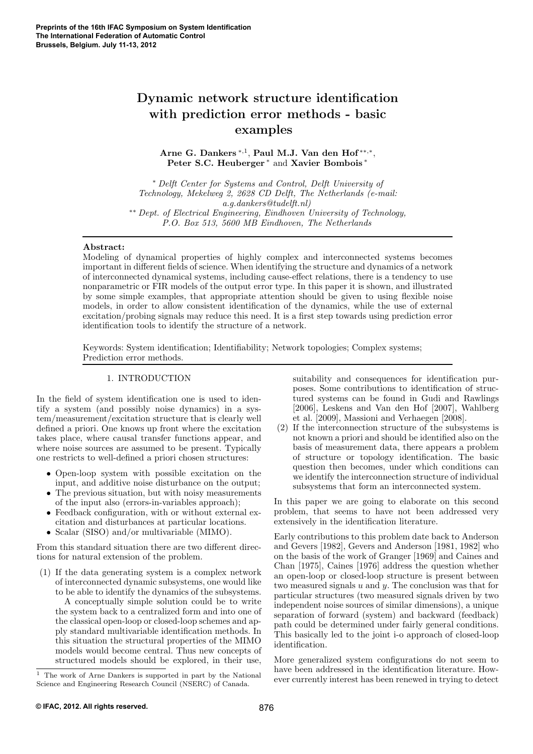# Dynamic network structure identification with prediction error methods - basic examples

Arne G. Dankers<sup>\*,1</sup>, Paul M.J. Van den Hof<sup>\*\*,\*</sup>, Peter S.C. Heuberger<sup>\*</sup> and Xavier Bombois<sup>\*</sup>

<sup>∗</sup> *Delft Center for Systems and Control, Delft University of Technology, Mekelweg 2, 2628 CD Delft, The Netherlands (e-mail: a.g.dankers@tudelft.nl)* ∗∗ *Dept. of Electrical Engineering, Eindhoven University of Technology, P.O. Box 513, 5600 MB Eindhoven, The Netherlands*

### Abstract:

Modeling of dynamical properties of highly complex and interconnected systems becomes important in different fields of science. When identifying the structure and dynamics of a network of interconnected dynamical systems, including cause-effect relations, there is a tendency to use nonparametric or FIR models of the output error type. In this paper it is shown, and illustrated by some simple examples, that appropriate attention should be given to using flexible noise models, in order to allow consistent identification of the dynamics, while the use of external excitation/probing signals may reduce this need. It is a first step towards using prediction error identification tools to identify the structure of a network.

Keywords: System identification; Identifiability; Network topologies; Complex systems; Prediction error methods.

# 1. INTRODUCTION

In the field of system identification one is used to identify a system (and possibly noise dynamics) in a system/measurement/excitation structure that is clearly well defined a priori. One knows up front where the excitation takes place, where causal transfer functions appear, and where noise sources are assumed to be present. Typically one restricts to well-defined a priori chosen structures:

- Open-loop system with possible excitation on the input, and additive noise disturbance on the output;
- The previous situation, but with noisy measurements of the input also (errors-in-variables approach);
- Feedback configuration, with or without external excitation and disturbances at particular locations.
- Scalar (SISO) and/or multivariable (MIMO).

From this standard situation there are two different directions for natural extension of the problem.

(1) If the data generating system is a complex network of interconnected dynamic subsystems, one would like to be able to identify the dynamics of the subsystems. A conceptually simple solution could be to write the system back to a centralized form and into one of the classical open-loop or closed-loop schemes and apply standard multivariable identification methods. In this situation the structural properties of the MIMO models would become central. Thus new concepts of structured models should be explored, in their use,

suitability and consequences for identification purposes. Some contributions to identification of structured systems can be found in Gudi and Rawlings [2006], Leskens and Van den Hof [2007], Wahlberg et al. [2009], Massioni and Verhaegen [2008].

(2) If the interconnection structure of the subsystems is not known a priori and should be identified also on the basis of measurement data, there appears a problem of structure or topology identification. The basic question then becomes, under which conditions can we identify the interconnection structure of individual subsystems that form an interconnected system.

In this paper we are going to elaborate on this second problem, that seems to have not been addressed very extensively in the identification literature.

Early contributions to this problem date back to Anderson and Gevers [1982], Gevers and Anderson [1981, 1982] who on the basis of the work of Granger [1969] and Caines and Chan [1975], Caines [1976] address the question whether an open-loop or closed-loop structure is present between two measured signals  $u$  and  $y$ . The conclusion was that for particular structures (two measured signals driven by two independent noise sources of similar dimensions), a unique separation of forward (system) and backward (feedback) path could be determined under fairly general conditions. This basically led to the joint i-o approach of closed-loop identification.

More generalized system configurations do not seem to have been addressed in the identification literature. However currently interest has been renewed in trying to detect

<sup>1</sup> The work of Arne Dankers is supported in part by the National Science and Engineering Research Council (NSERC) of Canada.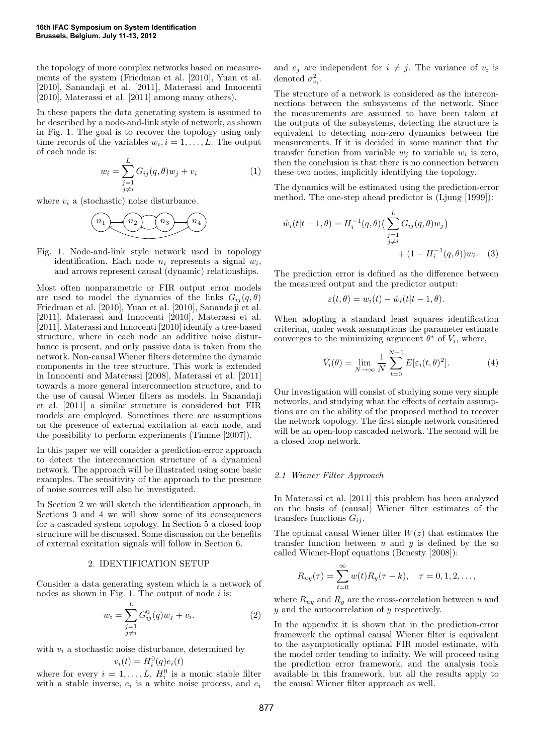the topology of more complex networks based on measurements of the system (Friedman et al. [2010], Yuan et al. [2010], Sanandaji et al. [2011], Materassi and Innocenti [2010], Materassi et al. [2011] among many others).

In these papers the data generating system is assumed to be described by a node-and-link style of network, as shown in Fig. 1. The goal is to recover the topology using only time records of the variables  $w_i, i = 1, \ldots, L$ . The output of each node is:

$$
w_i = \sum_{\substack{j=1 \ j \neq i}}^L G_{ij}(q, \theta) w_j + v_i \tag{1}
$$

where  $v_i$  a (stochastic) noise disturbance.

$$
\begin{pmatrix} n_1 \\ n_2 \end{pmatrix} \begin{pmatrix} n_3 \\ n_4 \end{pmatrix}
$$

Fig. 1. Node-and-link style network used in topology identification. Each node  $n_i$  represents a signal  $w_i$ , and arrows represent causal (dynamic) relationships.

Most often nonparametric or FIR output error models are used to model the dynamics of the links  $G_{ij}(q, \theta)$ Friedman et al. [2010], Yuan et al. [2010], Sanandaji et al. [2011], Materassi and Innocenti [2010], Materassi et al. [2011]. Materassi and Innocenti [2010] identify a tree-based structure, where in each node an additive noise disturbance is present, and only passive data is taken from the network. Non-causal Wiener filters determine the dynamic components in the tree structure. This work is extended in Innocenti and Materassi [2008], Materassi et al. [2011] towards a more general interconnection structure, and to the use of causal Wiener filters as models. In Sanandaji et al. [2011] a similar structure is considered but FIR models are employed. Sometimes there are assumptions on the presence of external excitation at each node, and the possibility to perform experiments (Timme [2007]).

In this paper we will consider a prediction-error approach to detect the interconnection structure of a dynamical network. The approach will be illustrated using some basic examples. The sensitivity of the approach to the presence of noise sources will also be investigated.

In Section 2 we will sketch the identification approach, in Sections 3 and 4 we will show some of its consequences for a cascaded system topology. In Section 5 a closed loop structure will be discussed. Some discussion on the benefits of external excitation signals will follow in Section 6.

## 2. IDENTIFICATION SETUP

Consider a data generating system which is a network of nodes as shown in Fig. 1. The output of node  $i$  is:

$$
w_i = \sum_{\substack{j=1 \ j \neq i}}^{L} G_{ij}^0(q) w_j + v_i.
$$
 (2)

with  $v_i$  a stochastic noise disturbance, determined by

$$
v_i(t) = H_i^0(q)e_i(t)
$$

where for every  $i = 1, ..., L$ ,  $H_i^0$  is a monic stable filter with a stable inverse,  $e_i$  is a white noise process, and  $e_i$  and  $e_j$  are independent for  $i \neq j$ . The variance of  $v_i$  is denoted  $\sigma_{v_i}^2$ .

The structure of a network is considered as the interconnections between the subsystems of the network. Since the measurements are assumed to have been taken at the outputs of the subsystems, detecting the structure is equivalent to detecting non-zero dynamics between the measurements. If it is decided in some manner that the transfer function from variable  $w_j$  to variable  $w_i$  is zero, then the conclusion is that there is no connection between these two nodes, implicitly identifying the topology.

The dynamics will be estimated using the prediction-error method. The one-step ahead predictor is (Ljung [1999]):

$$
\hat{w}_i(t|t-1,\theta) = H_i^{-1}(q,\theta) \left( \sum_{\substack{j=1 \ j \neq i}}^L G_{ij}(q,\theta) w_j \right) + (1 - H_i^{-1}(q,\theta)) w_i.
$$
 (3)

The prediction error is defined as the difference between the measured output and the predictor output:

$$
\varepsilon(t,\theta) = w_i(t) - \hat{w}_i(t|t-1,\theta).
$$

When adopting a standard least squares identification criterion, under weak assumptions the parameter estimate converges to the minimizing argument  $\theta^*$  of  $\bar{V}_i$ , where,

$$
\bar{V}_i(\theta) = \lim_{N \to \infty} \frac{1}{N} \sum_{t=0}^{N-1} E[\varepsilon_i(t,\theta)^2].
$$
 (4)

Our investigation will consist of studying some very simple networks, and studying what the effects of certain assumptions are on the ability of the proposed method to recover the network topology. The first simple network considered will be an open-loop cascaded network. The second will be a closed loop network.

# *2.1 Wiener Filter Approach*

In Materassi et al. [2011] this problem has been analyzed on the basis of (causal) Wiener filter estimates of the transfers functions  $G_{ij}$ .

The optimal causal Wiener filter  $W(z)$  that estimates the transfer function between  $u$  and  $y$  is defined by the so called Wiener-Hopf equations (Benesty [2008]):

$$
R_{uy}(\tau) = \sum_{t=0}^{\infty} w(t) R_y(\tau - k), \quad \tau = 0, 1, 2, \dots,
$$

where  $R_{uy}$  and  $R_y$  are the cross-correlation between u and y and the autocorrelation of y respectively.

In the appendix it is shown that in the prediction-error framework the optimal causal Wiener filter is equivalent to the asymptotically optimal FIR model estimate, with the model order tending to infinity. We will proceed using the prediction error framework, and the analysis tools available in this framework, but all the results apply to the causal Wiener filter approach as well.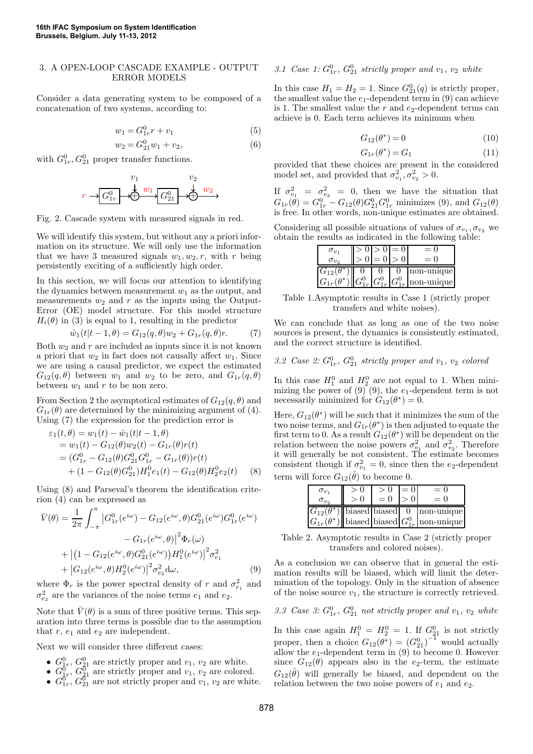### 3. A OPEN-LOOP CASCADE EXAMPLE - OUTPUT ERROR MODELS

Consider a data generating system to be composed of a concatenation of two systems, according to:

$$
w_1 = G_{1r}^0 r + v_1 \tag{5}
$$

$$
w_2 = G_{21}^0 w_1 + v_2, \tag{6}
$$

with  $G_{1r}^0$ ,  $G_{21}^0$  proper transfer functions.

$$
r \rightarrow G_{1r}^{0} \rightarrow \bigoplus^{w_1} G_{21}^{0} \rightarrow \bigoplus^{w_2} \xrightarrow{w_2}
$$

Fig. 2. Cascade system with measured signals in red.

We will identify this system, but without any a priori information on its structure. We will only use the information that we have 3 measured signals  $w_1, w_2, r$ , with r being persistently exciting of a sufficiently high order.

In this section, we will focus our attention to identifying the dynamics between measurement  $w_1$  as the output, and measurements  $w_2$  and r as the inputs using the Output-Error (OE) model structure. For this model structure  $H_i(\theta)$  in (3) is equal to 1, resulting in the predictor

$$
\hat{w}_1(t|t-1,\theta) = G_{12}(q,\theta)w_2 + G_{1r}(q,\theta)r.
$$
 (7)

Both  $w_2$  and r are included as inputs since it is not known a priori that  $w_2$  in fact does not causally affect  $w_1$ . Since we are using a causal predictor, we expect the estimated  $G_{12}(q, \theta)$  between  $w_1$  and  $w_2$  to be zero, and  $G_{1r}(q, \theta)$ between  $w_1$  and r to be non zero.

From Section 2 the asymptotical estimates of  $G_{12}(q, \theta)$  and  $G_{1r}(\theta)$  are determined by the minimizing argument of (4). Using (7) the expression for the prediction error is

$$
\varepsilon_1(t,\theta) = w_1(t) - \hat{w}_1(t|t-1,\theta) \n= w_1(t) - G_{12}(\theta)w_2(t) - G_{1r}(\theta)r(t) \n= (G_{1r}^0 - G_{12}(\theta)G_{21}^0G_{1r}^0 - G_{1r}(\theta))r(t) \n+ (1 - G_{12}(\theta)G_{21}^0)H_1^0e_1(t) - G_{12}(\theta)H_2^0e_2(t)
$$
\n(8)

Using (8) and Parseval's theorem the identification criterion (4) can be expressed as

$$
\bar{V}(\theta) = \frac{1}{2\pi} \int_{-\pi}^{\pi} \left| G_{1r}^{0}(e^{i\omega}) - G_{12}(e^{i\omega}, \theta) G_{21}^{0}(e^{i\omega}) G_{1r}^{0}(e^{i\omega}) - G_{1r}(e^{i\omega}, \theta) \right|^{2} \Phi_{r}(\omega) \n+ \left| (1 - G_{12}(e^{i\omega}, \theta) G_{21}^{0}(e^{i\omega})) H_{1}^{0}(e^{i\omega}) \right|^{2} \sigma_{e_{1}}^{2} \n+ \left| G_{12}(e^{i\omega}, \theta) H_{2}^{0}(e^{i\omega}) \right|^{2} \sigma_{e_{2}}^{2} d\omega, \tag{9}
$$

where  $\Phi_r$  is the power spectral density of r and  $\sigma_{e_1}^2$  and  $\sigma_{e_2}^2$  are the variances of the noise terms  $e_1$  and  $e_2$ .

Note that  $\bar{V}(\theta)$  is a sum of three positive terms. This separation into three terms is possible due to the assumption that  $r$ ,  $e_1$  and  $e_2$  are independent.

Next we will consider three different cases:

- $G_{1r}^0$ ,  $G_{21}^0$  are strictly proper and  $v_1$ ,  $v_2$  are white.
- $G_{1r}^{0^r}$ ,  $G_{21}^{0^{\dagger}}$  are strictly proper and  $v_1$ ,  $v_2$  are colored.
- $G_{1r}^{0^{\prime\prime}}$ ,  $G_{21}^{0^{\prime}}$  are not strictly proper and  $v_1$ ,  $v_2$  are white.

# 3.1 *Case 1:*  $G_{1r}^0$ ,  $G_{21}^0$  *strictly proper and*  $v_1$ ,  $v_2$  *white*

In this case  $H_1 = H_2 = 1$ . Since  $G_{21}^0(q)$  is strictly proper, the smallest value the  $e_1$ -dependent term in  $(9)$  can achieve is 1. The smallest value the r and  $e_2$ -dependent terms can achieve is 0. Each term achieves its minimum when

$$
G_{12}(\theta^*) = 0\tag{10}
$$

$$
G_{1r}(\theta^*) = G_1 \tag{11}
$$

provided that these choices are present in the considered model set, and provided that  $\sigma_{v_1}^2$ ,  $\sigma_{v_2}^2 > 0$ .

If  $\sigma_{v_1}^2 = \sigma_{v_2}^2 = 0$ , then we have the situation that  $G_{1r}(\theta) = G_{1r}^{0} - G_{12}(\theta)G_{21}^{0}G_{1r}^{0}$  minimizes (9), and  $G_{12}(\theta)$ is free. In other words, non-unique estimates are obtained.

Considering all possible situations of values of  $\sigma_{v_1}, \sigma_{v_2}$  we obtain the results as indicated in the following table:

| $\sigma_{\eta}$ |  |                                                              |
|-----------------|--|--------------------------------------------------------------|
| $G_{12}$        |  | non-unique<br>$G_{1r}^{0} G_{1r}^{0} G_{1r}^{0} $ non-unique |

Table 1.Asymptotic results in Case 1 (strictly proper transfers and white noises).

We can conclude that as long as one of the two noise sources is present, the dynamics is consistently estimated, and the correct structure is identified.

3.2 *Case 2:*  $G_{1r}^0$ ,  $G_{21}^0$  *strictly proper and*  $v_1$ *,*  $v_2$  *colored* 

In this case  $H_1^0$  and  $H_2^0$  are not equal to 1. When minimizing the power of  $(9)$   $(9)$ , the  $e_1$ -dependent term is not necessarily minimized for  $G_{12}(\theta^*)=0$ .

Here,  $G_{12}(\theta^*)$  will be such that it minimizes the sum of the two noise terms, and  $G_{1r}(\theta^*)$  is then adjusted to equate the first term to 0. As a result  $G_{12}(\theta^*)$  will be dependent on the relation between the noise powers  $\sigma_{v_1}^2$  and  $\sigma_{v_2}^2$ . Therefore it will generally be not consistent. The estimate becomes consistent though if  $\sigma_{v_1}^2 = 0$ , since then the  $e_2$ -dependent term will force  $G_{12}(\hat{\theta})$  to become 0.

| $\sigma_{v_1}$     |  |                                               |
|--------------------|--|-----------------------------------------------|
| $\sigma_{v_2}$     |  |                                               |
|                    |  | $G_{12}(\theta^*)$ biased biased 0 non-unique |
| $G_{1r}(\theta^*)$ |  | biased biased $ G_{1r}^0 $ non-unique         |

Table 2. Asymptotic results in Case 2 (strictly proper transfers and colored noises).

As a conclusion we can observe that in general the estimation results will be biased, which will limit the determination of the topology. Only in the situation of absence of the noise source  $v_1$ , the structure is correctly retrieved.

3.3 Case 3:  $G_{1r}^0$ ,  $G_{21}^0$  not strictly proper and  $v_1$ ,  $v_2$  white

In this case again  $H_1^0 = H_2^0 = 1$ . If  $G_{21}^0$  is not strictly proper, then a choice  $G_{12}(\vec{\theta}^*) = (G_{21}^0)^{-1}$  would actually allow the  $e_1$ -dependent term in (9) to become 0. However since  $G_{12}(\theta)$  appears also in the e<sub>2</sub>-term, the estimate  $G_{12}(\hat{\theta})$  will generally be biased, and dependent on the relation between the two noise powers of  $e_1$  and  $e_2$ .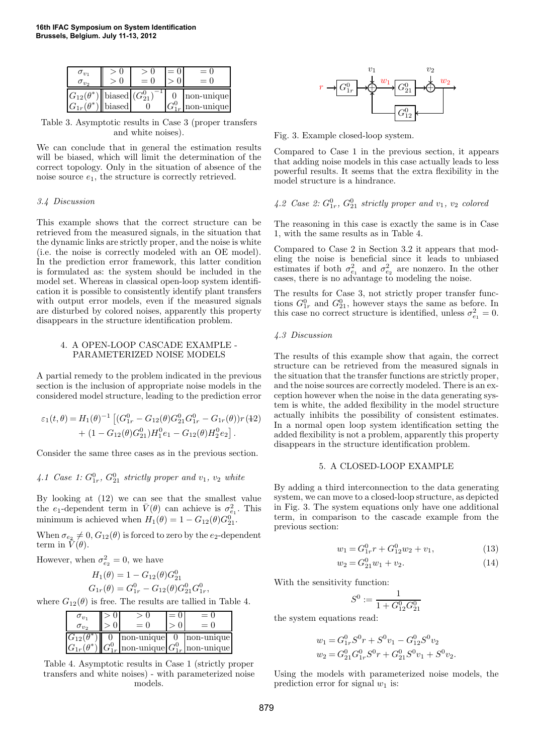| $\sigma_{v_1}$<br>$\sigma_{v_2}$ |                               |  |                          |
|----------------------------------|-------------------------------|--|--------------------------|
| $ G_{12}(\theta^*)$<br>$G_{1r}$  | biased $(G_{21}^0)$<br>biased |  | non-unique<br>non-unique |

Table 3. Asymptotic results in Case 3 (proper transfers and white noises).

We can conclude that in general the estimation results will be biased, which will limit the determination of the correct topology. Only in the situation of absence of the noise source  $e_1$ , the structure is correctly retrieved.

# *3.4 Discussion*

This example shows that the correct structure can be retrieved from the measured signals, in the situation that the dynamic links are strictly proper, and the noise is white (i.e. the noise is correctly modeled with an OE model). In the prediction error framework, this latter condition is formulated as: the system should be included in the model set. Whereas in classical open-loop system identification it is possible to consistently identify plant transfers with output error models, even if the measured signals are disturbed by colored noises, apparently this property disappears in the structure identification problem.

## 4. A OPEN-LOOP CASCADE EXAMPLE - PARAMETERIZED NOISE MODELS

A partial remedy to the problem indicated in the previous section is the inclusion of appropriate noise models in the considered model structure, leading to the prediction error

$$
\varepsilon_1(t,\theta) = H_1(\theta)^{-1} \left[ (G_{1r}^0 - G_{12}(\theta) G_{21}^0 G_{1r}^0 - G_{1r}(\theta)) r(\pm 2) + (1 - G_{12}(\theta) G_{21}^0) H_1^0 e_1 - G_{12}(\theta) H_2^0 e_2 \right].
$$

Consider the same three cases as in the previous section.

# 4.1 *Case 1:*  $G_{1r}^0$ ,  $G_{21}^0$  *strictly proper and*  $v_1$ ,  $v_2$  *white*

By looking at (12) we can see that the smallest value the  $e_1$ -dependent term in  $\bar{V}(\theta)$  can achieve is  $\sigma_{e_1}^2$ . This minimum is achieved when  $H_1(\theta) = 1 - G_{12}(\theta) G_{21}^{0}$ .

When  $\sigma_{e_2} \neq 0$ ,  $G_{12}(\theta)$  is forced to zero by the  $e_2$ -dependent term in  $\tilde{V}(\theta)$ .

However, when  $\sigma_{e_2}^2 = 0$ , we have

$$
H_1(\theta) = 1 - G_{12}(\theta)G_{21}^0
$$
  
\n
$$
G_{1r}(\theta) = G_{1r}^0 - G_{12}(\theta)G_{21}^0G_{1r}^0,
$$

where  $G_{12}(\theta)$  is free. The results are tallied in Table 4.

| $\sigma_{v_1}$<br>$\sigma_{v}$ | $= 0$      | $= 0$<br>$= 0$                              |
|--------------------------------|------------|---------------------------------------------|
|                                | non-unique | non-unique                                  |
|                                |            | $G_{1r}^0$ non-unique $G_{1r}^0$ non-unique |

Table 4. Asymptotic results in Case 1 (strictly proper transfers and white noises) - with parameterized noise models.



Fig. 3. Example closed-loop system.

Compared to Case 1 in the previous section, it appears that adding noise models in this case actually leads to less powerful results. It seems that the extra flexibility in the model structure is a hindrance.

# 4.2 Case 2:  $G_{1r}^0$ ,  $G_{21}^0$  strictly proper and  $v_1$ ,  $v_2$  colored

The reasoning in this case is exactly the same is in Case 1, with the same results as in Table 4.

Compared to Case 2 in Section 3.2 it appears that modeling the noise is beneficial since it leads to unbiased estimates if both  $\sigma_{e_1}^2$  and  $\sigma_{e_2}^2$  are nonzero. In the other cases, there is no advantage to modeling the noise.

The results for Case 3, not strictly proper transfer functions  $G_{1r}^0$  and  $G_{21}^0$ , however stays the same as before. In this case no correct structure is identified, unless  $\sigma_{e_1}^2 = 0$ .

### *4.3 Discussion*

The results of this example show that again, the correct structure can be retrieved from the measured signals in the situation that the transfer functions are strictly proper, and the noise sources are correctly modeled. There is an exception however when the noise in the data generating system is white, the added flexibility in the model structure actually inhibits the possibility of consistent estimates. In a normal open loop system identification setting the added flexibility is not a problem, apparently this property disappears in the structure identification problem.

#### 5. A CLOSED-LOOP EXAMPLE

By adding a third interconnection to the data generating system, we can move to a closed-loop structure, as depicted in Fig. 3. The system equations only have one additional term, in comparison to the cascade example from the previous section:

$$
w_1 = G_{1r}^0 r + G_{12}^0 w_2 + v_1, \tag{13}
$$

$$
w_2 = G_{21}^0 w_1 + v_2. \tag{14}
$$

With the sensitivity function:

$$
S^0:=\frac{1}{1+G^0_{12}G^0_{21}}
$$

the system equations read:

$$
w_1 = G_{1r}^0 S^0 r + S^0 v_1 - G_{12}^0 S^0 v_2
$$
  

$$
w_2 = G_{21}^0 G_{1r}^0 S^0 r + G_{21}^0 S^0 v_1 + S^0 v_2.
$$

Using the models with parameterized noise models, the prediction error for signal  $w_1$  is: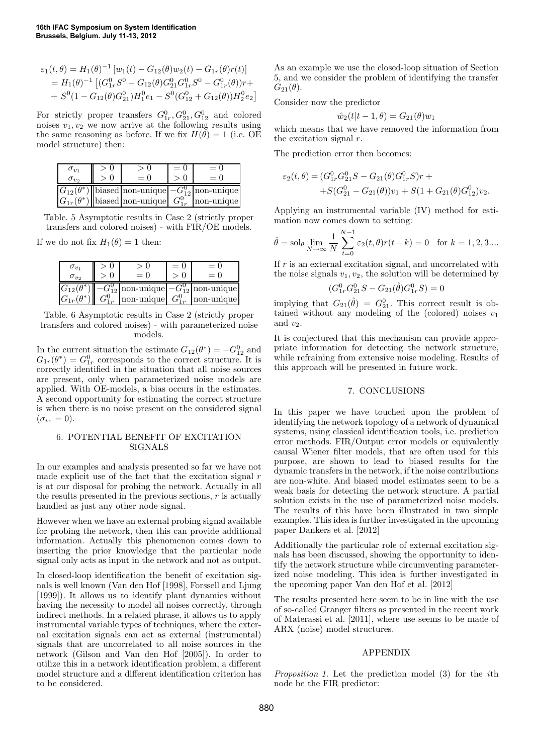$$
\varepsilon_1(t,\theta) = H_1(\theta)^{-1} \left[ w_1(t) - G_{12}(\theta)w_2(t) - G_{1r}(\theta)r(t) \right]
$$
  
=  $H_1(\theta)^{-1} \left[ (G_{1r}^0 S^0 - G_{12}(\theta)G_{21}^0 G_{1r}^0 S^0 - G_{1r}^0(\theta))r +$   
+  $S^0(1 - G_{12}(\theta)G_{21}^0)H_1^0 e_1 - S^0(G_{12}^0 + G_{12}(\theta))H_2^0 e_2 \right]$ 

For strictly proper transfers  $G_{1r}^0, G_{21}^0, G_{12}^0$  and colored noises  $v_1, v_2$  we now arrive at the following results using the same reasoning as before. If we fix  $H(\theta) = 1$  (i.e. OE model structure) then:

| $\sigma_{v_1}$<br>$\sigma_{v_2}$ | $= 0$ | $= 0$ | $= 1$<br>$= 0$                                                                                                                  |
|----------------------------------|-------|-------|---------------------------------------------------------------------------------------------------------------------------------|
|                                  |       |       | $ G_{12}(\theta^*) $ biased non-unique $-G_{12}^0$ non-unique<br>$ G_{1r}(\theta^*) $ biased non-unique $ G_{1r}^0 $ non-unique |

Table. 5 Asymptotic results in Case 2 (strictly proper transfers and colored noises) - with FIR/OE models.

If we do not fix  $H_1(\theta) = 1$  then:

| $\sigma_{v_1}$ |                                                                        |            |
|----------------|------------------------------------------------------------------------|------------|
|                | $G_{12}^0$ non-unique $-G_{12}^0$ non-unique<br>non-unique $G_{1}^{0}$ | non-unique |

Table. 6 Asymptotic results in Case 2 (strictly proper transfers and colored noises) - with parameterized noise models.

In the current situation the estimate  $G_{12}(\theta^*) = -G_{12}^0$  and  $G_{1r}(\theta^*) = G_{1r}^0$  corresponds to the correct structure. It is correctly identified in the situation that all noise sources are present, only when parameterized noise models are applied. With OE-models, a bias occurs in the estimates. A second opportunity for estimating the correct structure is when there is no noise present on the considered signal  $(\sigma_{v_1}=0).$ 

# 6. POTENTIAL BENEFIT OF EXCITATION SIGNALS

In our examples and analysis presented so far we have not made explicit use of the fact that the excitation signal  $r$ is at our disposal for probing the network. Actually in all the results presented in the previous sections,  $r$  is actually handled as just any other node signal.

However when we have an external probing signal available for probing the network, then this can provide additional information. Actually this phenomenon comes down to inserting the prior knowledge that the particular node signal only acts as input in the network and not as output.

In closed-loop identification the benefit of excitation signals is well known (Van den Hof [1998], Forssell and Ljung [1999]). It allows us to identify plant dynamics without having the necessity to model all noises correctly, through indirect methods. In a related phrase, it allows us to apply instrumental variable types of techniques, where the external excitation signals can act as external (instrumental) signals that are uncorrelated to all noise sources in the network (Gilson and Van den Hof [2005]). In order to utilize this in a network identification problem, a different model structure and a different identification criterion has to be considered.

As an example we use the closed-loop situation of Section 5, and we consider the problem of identifying the transfer  $G_{21}(\theta)$ .

Consider now the predictor

$$
\hat{w}_2(t|t-1,\theta) = G_{21}(\theta)w_1
$$

which means that we have removed the information from the excitation signal  $r$ .

The prediction error then becomes:

$$
\varepsilon_2(t,\theta) = (G_{1r}^0 G_{21}^0 S - G_{21}(\theta) G_{1r}^0 S) r ++ S(G_{21}^0 - G_{21}(\theta)) v_1 + S(1 + G_{21}(\theta) G_{12}^0) v_2.
$$

Applying an instrumental variable (IV) method for estimation now comes down to setting:

$$
\hat{\theta} = \text{sol}_{\theta} \lim_{N \to \infty} \frac{1}{N} \sum_{t=0}^{N-1} \varepsilon_2(t, \theta) r(t - k) = 0 \text{ for } k = 1, 2, 3...
$$

If r is an external excitation signal, and uncorrelated with the noise signals  $v_1, v_2$ , the solution will be determined by

$$
(G_{1r}^0G_{21}^0S-G_{21}(\hat{\theta})G_{1r}^0S)=0
$$

implying that  $G_{21}(\hat{\theta}) = G_{21}^0$ . This correct result is obtained without any modeling of the (colored) noises  $v_1$ and  $v_2$ .

It is conjectured that this mechanism can provide appropriate information for detecting the network structure, while refraining from extensive noise modeling. Results of this approach will be presented in future work.

### 7. CONCLUSIONS

In this paper we have touched upon the problem of identifying the network topology of a network of dynamical systems, using classical identification tools, i.e. prediction error methods. FIR/Output error models or equivalently causal Wiener filter models, that are often used for this purpose, are shown to lead to biased results for the dynamic transfers in the network, if the noise contributions are non-white. And biased model estimates seem to be a weak basis for detecting the network structure. A partial solution exists in the use of parameterized noise models. The results of this have been illustrated in two simple examples. This idea is further investigated in the upcoming paper Dankers et al. [2012]

Additionally the particular role of external excitation signals has been discussed, showing the opportunity to identify the network structure while circumventing parameterized noise modeling. This idea is further investigated in the upcoming paper Van den Hof et al. [2012]

The results presented here seem to be in line with the use of so-called Granger filters as presented in the recent work of Materassi et al. [2011], where use seems to be made of ARX (noise) model structures.

# APPENDIX

*Proposition 1.* Let the prediction model (3) for the ith node be the FIR predictor: